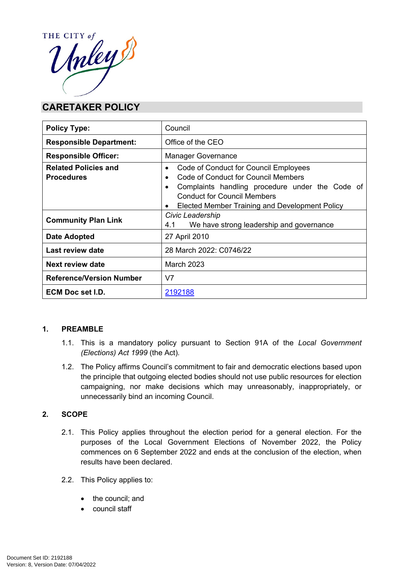

# **CARETAKER POLICY**

| <b>Policy Type:</b>                              | Council                                                                                                                                                                                                                                                                     |
|--------------------------------------------------|-----------------------------------------------------------------------------------------------------------------------------------------------------------------------------------------------------------------------------------------------------------------------------|
| <b>Responsible Department:</b>                   | Office of the CEO                                                                                                                                                                                                                                                           |
| <b>Responsible Officer:</b>                      | <b>Manager Governance</b>                                                                                                                                                                                                                                                   |
| <b>Related Policies and</b><br><b>Procedures</b> | Code of Conduct for Council Employees<br>$\bullet$<br>Code of Conduct for Council Members<br>$\bullet$<br>Complaints handling procedure under the Code of<br>$\bullet$<br><b>Conduct for Council Members</b><br>Elected Member Training and Development Policy<br>$\bullet$ |
| <b>Community Plan Link</b>                       | Civic Leadership<br>We have strong leadership and governance<br>4.1                                                                                                                                                                                                         |
| <b>Date Adopted</b>                              | 27 April 2010                                                                                                                                                                                                                                                               |
| Last review date                                 | 28 March 2022: C0746/22                                                                                                                                                                                                                                                     |
| <b>Next review date</b>                          | <b>March 2023</b>                                                                                                                                                                                                                                                           |
| <b>Reference/Version Number</b>                  | V <sub>7</sub>                                                                                                                                                                                                                                                              |
| <b>ECM Doc set I.D.</b>                          | 2192188                                                                                                                                                                                                                                                                     |

## **1. PREAMBLE**

- 1.1. This is a mandatory policy pursuant to Section 91A of the *Local Government (Elections) Act 1999* (the Act)*.*
- 1.2. The Policy affirms Council's commitment to fair and democratic elections based upon the principle that outgoing elected bodies should not use public resources for election campaigning, nor make decisions which may unreasonably, inappropriately, or unnecessarily bind an incoming Council.

# **2. SCOPE**

- 2.1. This Policy applies throughout the election period for a general election. For the purposes of the Local Government Elections of November 2022, the Policy commences on 6 September 2022 and ends at the conclusion of the election, when results have been declared.
- 2.2. This Policy applies to:
	- the council; and
	- council staff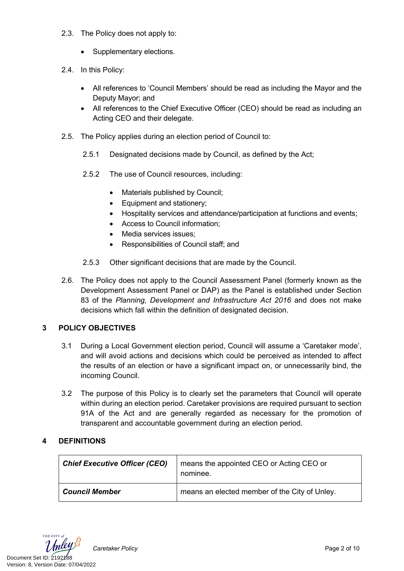- 2.3. The Policy does not apply to:
	- Supplementary elections.
- 2.4. In this Policy:
	- All references to 'Council Members' should be read as including the Mayor and the Deputy Mayor; and
	- All references to the Chief Executive Officer (CEO) should be read as including an Acting CEO and their delegate.
- 2.5. The Policy applies during an election period of Council to:
	- 2.5.1 Designated decisions made by Council, as defined by the Act;
	- 2.5.2 The use of Council resources, including:
		- Materials published by Council;
		- Equipment and stationery;
		- Hospitality services and attendance/participation at functions and events;
		- Access to Council information;
		- Media services issues:
		- Responsibilities of Council staff; and
	- 2.5.3 Other significant decisions that are made by the Council.
- 2.6. The Policy does not apply to the Council Assessment Panel (formerly known as the Development Assessment Panel or DAP) as the Panel is established under Section 83 of the *Planning, Development and Infrastructure Act 2016* and does not make decisions which fall within the definition of designated decision.

## **3 POLICY OBJECTIVES**

- 3.1 During a Local Government election period, Council will assume a 'Caretaker mode', and will avoid actions and decisions which could be perceived as intended to affect the results of an election or have a significant impact on, or unnecessarily bind, the incoming Council.
- 3.2 The purpose of this Policy is to clearly set the parameters that Council will operate within during an election period. Caretaker provisions are required pursuant to section 91A of the Act and are generally regarded as necessary for the promotion of transparent and accountable government during an election period.

## **4 DEFINITIONS**

| <b>Chief Executive Officer (CEO)</b> | means the appointed CEO or Acting CEO or<br>nominee. |
|--------------------------------------|------------------------------------------------------|
| <b>Council Member</b>                | means an elected member of the City of Unley.        |

THE CITY of Document Set ID: 2192188<br>Version: 8, Version Date: 07/04/2022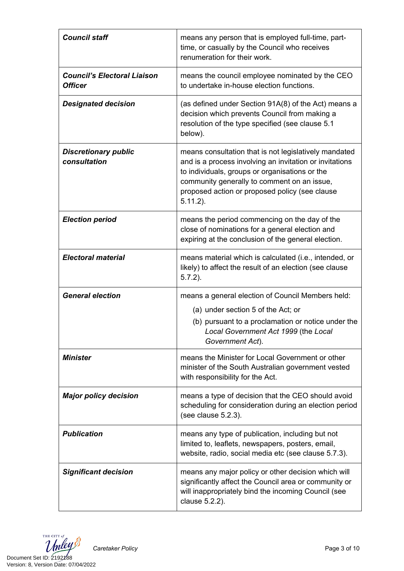| <b>Council staff</b>                                 | means any person that is employed full-time, part-<br>time, or casually by the Council who receives<br>renumeration for their work.                                                                                                                                                |
|------------------------------------------------------|------------------------------------------------------------------------------------------------------------------------------------------------------------------------------------------------------------------------------------------------------------------------------------|
| <b>Council's Electoral Liaison</b><br><b>Officer</b> | means the council employee nominated by the CEO<br>to undertake in-house election functions.                                                                                                                                                                                       |
| <b>Designated decision</b>                           | (as defined under Section 91A(8) of the Act) means a<br>decision which prevents Council from making a<br>resolution of the type specified (see clause 5.1<br>below).                                                                                                               |
| <b>Discretionary public</b><br>consultation          | means consultation that is not legislatively mandated<br>and is a process involving an invitation or invitations<br>to individuals, groups or organisations or the<br>community generally to comment on an issue,<br>proposed action or proposed policy (see clause<br>$5.11.2$ ). |
| <b>Election period</b>                               | means the period commencing on the day of the<br>close of nominations for a general election and<br>expiring at the conclusion of the general election.                                                                                                                            |
| <b>Electoral material</b>                            | means material which is calculated (i.e., intended, or<br>likely) to affect the result of an election (see clause<br>$5.7.2$ ).                                                                                                                                                    |
| <b>General election</b>                              | means a general election of Council Members held:                                                                                                                                                                                                                                  |
|                                                      | (a) under section 5 of the Act; or                                                                                                                                                                                                                                                 |
|                                                      | (b) pursuant to a proclamation or notice under the<br>Local Government Act 1999 (the Local<br>Government Act).                                                                                                                                                                     |
| <b>Minister</b>                                      | means the Minister for Local Government or other<br>minister of the South Australian government vested<br>with responsibility for the Act.                                                                                                                                         |
| <b>Major policy decision</b>                         | means a type of decision that the CEO should avoid<br>scheduling for consideration during an election period<br>(see clause 5.2.3).                                                                                                                                                |
| <b>Publication</b>                                   | means any type of publication, including but not<br>limited to, leaflets, newspapers, posters, email,<br>website, radio, social media etc (see clause 5.7.3).                                                                                                                      |
| <b>Significant decision</b>                          | means any major policy or other decision which will<br>significantly affect the Council area or community or<br>will inappropriately bind the incoming Council (see<br>clause 5.2.2).                                                                                              |

THE CITY of Document Set ID: 2192188<br>Version: 8, Version Date: 07/04/2022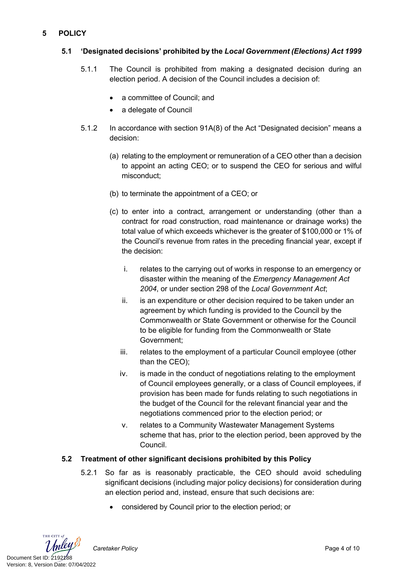## **5 POLICY**

## **5.1 'Designated decisions' prohibited by the** *Local Government (Elections) Act 1999*

- 5.1.1 The Council is prohibited from making a designated decision during an election period. A decision of the Council includes a decision of:
	- a committee of Council; and
	- a delegate of Council
- 5.1.2 In accordance with section 91A(8) of the Act "Designated decision" means a decision:
	- (a) relating to the employment or remuneration of a CEO other than a decision to appoint an acting CEO; or to suspend the CEO for serious and wilful misconduct;
	- (b) to terminate the appointment of a CEO; or
	- (c) to enter into a contract, arrangement or understanding (other than a contract for road construction, road maintenance or drainage works) the total value of which exceeds whichever is the greater of \$100,000 or 1% of the Council's revenue from rates in the preceding financial year, except if the decision:
		- i. relates to the carrying out of works in response to an emergency or disaster within the meaning of the *Emergency Management Act 2004*, or under section 298 of the *Local Government Act*;
		- ii. is an expenditure or other decision required to be taken under an agreement by which funding is provided to the Council by the Commonwealth or State Government or otherwise for the Council to be eligible for funding from the Commonwealth or State Government;
		- iii. relates to the employment of a particular Council employee (other than the CEO);
		- iv. is made in the conduct of negotiations relating to the employment of Council employees generally, or a class of Council employees, if provision has been made for funds relating to such negotiations in the budget of the Council for the relevant financial year and the negotiations commenced prior to the election period; or
		- v. relates to a Community Wastewater Management Systems scheme that has, prior to the election period, been approved by the Council.

# **5.2 Treatment of other significant decisions prohibited by this Policy**

- 5.2.1 So far as is reasonably practicable, the CEO should avoid scheduling significant decisions (including major policy decisions) for consideration during an election period and, instead, ensure that such decisions are:
	- considered by Council prior to the election period; or

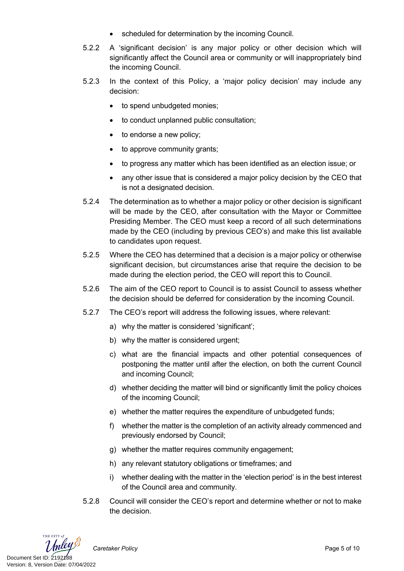- scheduled for determination by the incoming Council.
- 5.2.2 A 'significant decision' is any major policy or other decision which will significantly affect the Council area or community or will inappropriately bind the incoming Council.
- 5.2.3 In the context of this Policy, a 'major policy decision' may include any decision:
	- to spend unbudgeted monies;
	- to conduct unplanned public consultation:
	- to endorse a new policy;
	- to approve community grants;
	- to progress any matter which has been identified as an election issue; or
	- any other issue that is considered a major policy decision by the CEO that is not a designated decision.
- 5.2.4 The determination as to whether a major policy or other decision is significant will be made by the CEO, after consultation with the Mayor or Committee Presiding Member. The CEO must keep a record of all such determinations made by the CEO (including by previous CEO's) and make this list available to candidates upon request.
- 5.2.5 Where the CEO has determined that a decision is a major policy or otherwise significant decision, but circumstances arise that require the decision to be made during the election period, the CEO will report this to Council.
- 5.2.6 The aim of the CEO report to Council is to assist Council to assess whether the decision should be deferred for consideration by the incoming Council.
- 5.2.7 The CEO's report will address the following issues, where relevant:
	- a) why the matter is considered 'significant';
	- b) why the matter is considered urgent:
	- c) what are the financial impacts and other potential consequences of postponing the matter until after the election, on both the current Council and incoming Council;
	- d) whether deciding the matter will bind or significantly limit the policy choices of the incoming Council;
	- e) whether the matter requires the expenditure of unbudgeted funds;
	- f) whether the matter is the completion of an activity already commenced and previously endorsed by Council;
	- g) whether the matter requires community engagement;
	- h) any relevant statutory obligations or timeframes; and
	- i) whether dealing with the matter in the 'election period' is in the best interest of the Council area and community.
- 5.2.8 Council will consider the CEO's report and determine whether or not to make the decision.

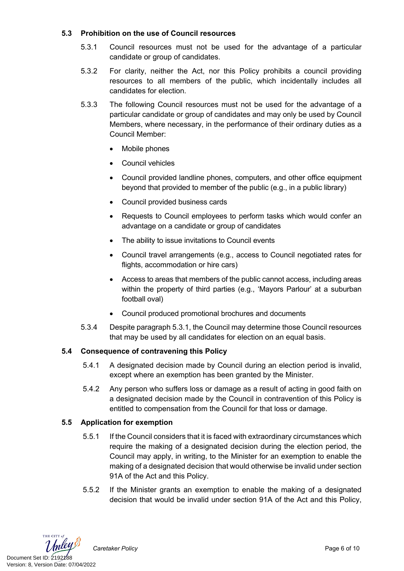## **5.3 Prohibition on the use of Council resources**

- 5.3.1 Council resources must not be used for the advantage of a particular candidate or group of candidates.
- 5.3.2 For clarity, neither the Act, nor this Policy prohibits a council providing resources to all members of the public, which incidentally includes all candidates for election.
- 5.3.3 The following Council resources must not be used for the advantage of a particular candidate or group of candidates and may only be used by Council Members, where necessary, in the performance of their ordinary duties as a Council Member:
	- Mobile phones
	- Council vehicles
	- Council provided landline phones, computers, and other office equipment beyond that provided to member of the public (e.g., in a public library)
	- Council provided business cards
	- Requests to Council employees to perform tasks which would confer an advantage on a candidate or group of candidates
	- The ability to issue invitations to Council events
	- Council travel arrangements (e.g., access to Council negotiated rates for flights, accommodation or hire cars)
	- Access to areas that members of the public cannot access, including areas within the property of third parties (e.g., 'Mayors Parlour' at a suburban football oval)
	- Council produced promotional brochures and documents
- 5.3.4 Despite paragraph 5.3.1, the Council may determine those Council resources that may be used by all candidates for election on an equal basis.

# **5.4 Consequence of contravening this Policy**

- 5.4.1 A designated decision made by Council during an election period is invalid, except where an exemption has been granted by the Minister.
- 5.4.2 Any person who suffers loss or damage as a result of acting in good faith on a designated decision made by the Council in contravention of this Policy is entitled to compensation from the Council for that loss or damage.

## **5.5 Application for exemption**

- 5.5.1 If the Council considers that it is faced with extraordinary circumstances which require the making of a designated decision during the election period, the Council may apply, in writing, to the Minister for an exemption to enable the making of a designated decision that would otherwise be invalid under section 91A of the Act and this Policy.
- 5.5.2 If the Minister grants an exemption to enable the making of a designated decision that would be invalid under section 91A of the Act and this Policy,

THE CITY of Document Set ID: 2192188<br>Version: 8, Version Date: 07/04/2022

*Caretaker Policy* Page 6 of 10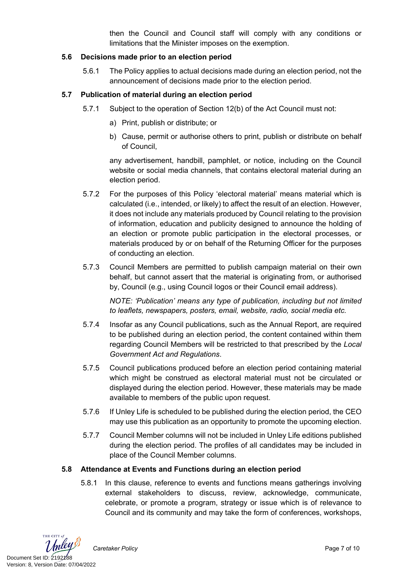then the Council and Council staff will comply with any conditions or limitations that the Minister imposes on the exemption.

#### **5.6 Decisions made prior to an election period**

5.6.1 The Policy applies to actual decisions made during an election period, not the announcement of decisions made prior to the election period.

#### **5.7 Publication of material during an election period**

- 5.7.1 Subject to the operation of Section 12(b) of the Act Council must not:
	- a) Print, publish or distribute; or
	- b) Cause, permit or authorise others to print, publish or distribute on behalf of Council,

any advertisement, handbill, pamphlet, or notice, including on the Council website or social media channels, that contains electoral material during an election period.

- 5.7.2 For the purposes of this Policy 'electoral material' means material which is calculated (i.e., intended, or likely) to affect the result of an election. However, it does not include any materials produced by Council relating to the provision of information, education and publicity designed to announce the holding of an election or promote public participation in the electoral processes, or materials produced by or on behalf of the Returning Officer for the purposes of conducting an election.
- 5.7.3 Council Members are permitted to publish campaign material on their own behalf, but cannot assert that the material is originating from, or authorised by, Council (e.g., using Council logos or their Council email address).

*NOTE: 'Publication' means any type of publication, including but not limited to leaflets, newspapers, posters, email, website, radio, social media etc.*

- 5.7.4 Insofar as any Council publications, such as the Annual Report, are required to be published during an election period, the content contained within them regarding Council Members will be restricted to that prescribed by the *Local Government Act and Regulations*.
- 5.7.5 Council publications produced before an election period containing material which might be construed as electoral material must not be circulated or displayed during the election period. However, these materials may be made available to members of the public upon request.
- 5.7.6 If Unley Life is scheduled to be published during the election period, the CEO may use this publication as an opportunity to promote the upcoming election.
- 5.7.7 Council Member columns will not be included in Unley Life editions published during the election period. The profiles of all candidates may be included in place of the Council Member columns.

## **5.8 Attendance at Events and Functions during an election period**

5.8.1 In this clause, reference to events and functions means gatherings involving external stakeholders to discuss, review, acknowledge, communicate, celebrate, or promote a program, strategy or issue which is of relevance to Council and its community and may take the form of conferences, workshops,

THE CITY of Document Set ID: 2192188<br>Version: 8, Version Date: 07/04/2022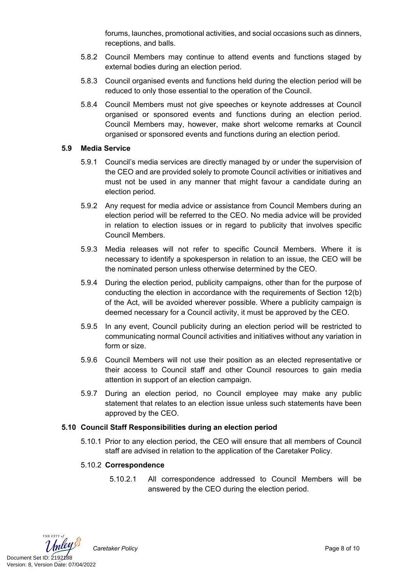forums, launches, promotional activities, and social occasions such as dinners, receptions, and balls.

- 5.8.2 Council Members may continue to attend events and functions staged by external bodies during an election period.
- 5.8.3 Council organised events and functions held during the election period will be reduced to only those essential to the operation of the Council.
- 5.8.4 Council Members must not give speeches or keynote addresses at Council organised or sponsored events and functions during an election period. Council Members may, however, make short welcome remarks at Council organised or sponsored events and functions during an election period.

#### **5.9 Media Service**

- 5.9.1 Council's media services are directly managed by or under the supervision of the CEO and are provided solely to promote Council activities or initiatives and must not be used in any manner that might favour a candidate during an election period.
- 5.9.2 Any request for media advice or assistance from Council Members during an election period will be referred to the CEO. No media advice will be provided in relation to election issues or in regard to publicity that involves specific Council Members.
- 5.9.3 Media releases will not refer to specific Council Members. Where it is necessary to identify a spokesperson in relation to an issue, the CEO will be the nominated person unless otherwise determined by the CEO.
- 5.9.4 During the election period, publicity campaigns, other than for the purpose of conducting the election in accordance with the requirements of Section 12(b) of the Act, will be avoided wherever possible. Where a publicity campaign is deemed necessary for a Council activity, it must be approved by the CEO.
- 5.9.5 In any event, Council publicity during an election period will be restricted to communicating normal Council activities and initiatives without any variation in form or size.
- 5.9.6 Council Members will not use their position as an elected representative or their access to Council staff and other Council resources to gain media attention in support of an election campaign.
- 5.9.7 During an election period, no Council employee may make any public statement that relates to an election issue unless such statements have been approved by the CEO.

## **5.10 Council Staff Responsibilities during an election period**

5.10.1 Prior to any election period, the CEO will ensure that all members of Council staff are advised in relation to the application of the Caretaker Policy.

#### 5.10.2 **Correspondence**

5.10.2.1 All correspondence addressed to Council Members will be answered by the CEO during the election period.

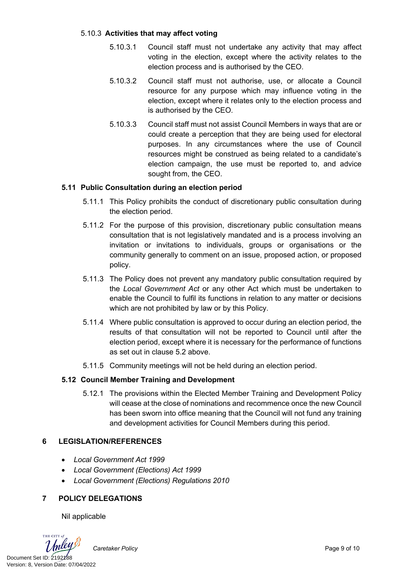#### 5.10.3 **Activities that may affect voting**

- 5.10.3.1 Council staff must not undertake any activity that may affect voting in the election, except where the activity relates to the election process and is authorised by the CEO.
- 5.10.3.2 Council staff must not authorise, use, or allocate a Council resource for any purpose which may influence voting in the election, except where it relates only to the election process and is authorised by the CEO.
- 5.10.3.3 Council staff must not assist Council Members in ways that are or could create a perception that they are being used for electoral purposes. In any circumstances where the use of Council resources might be construed as being related to a candidate's election campaign, the use must be reported to, and advice sought from, the CEO.

## **5.11 Public Consultation during an election period**

- 5.11.1 This Policy prohibits the conduct of discretionary public consultation during the election period.
- 5.11.2 For the purpose of this provision, discretionary public consultation means consultation that is not legislatively mandated and is a process involving an invitation or invitations to individuals, groups or organisations or the community generally to comment on an issue, proposed action, or proposed policy.
- 5.11.3 The Policy does not prevent any mandatory public consultation required by the *Local Government Act* or any other Act which must be undertaken to enable the Council to fulfil its functions in relation to any matter or decisions which are not prohibited by law or by this Policy.
- 5.11.4 Where public consultation is approved to occur during an election period, the results of that consultation will not be reported to Council until after the election period, except where it is necessary for the performance of functions as set out in clause 5.2 above.
- 5.11.5 Community meetings will not be held during an election period.

## **5.12 Council Member Training and Development**

5.12.1 The provisions within the Elected Member Training and Development Policy will cease at the close of nominations and recommence once the new Council has been sworn into office meaning that the Council will not fund any training and development activities for Council Members during this period.

## **6 LEGISLATION/REFERENCES**

- *Local Government Act 1999*
- *Local Government (Elections) Act 1999*
- *Local Government (Elections) Regulations 2010*

# **7 POLICY DELEGATIONS**

Nil applicable

THE CITY of Document Set ID: 2192188<br>Version: 8, Version Date: 07/04/2022